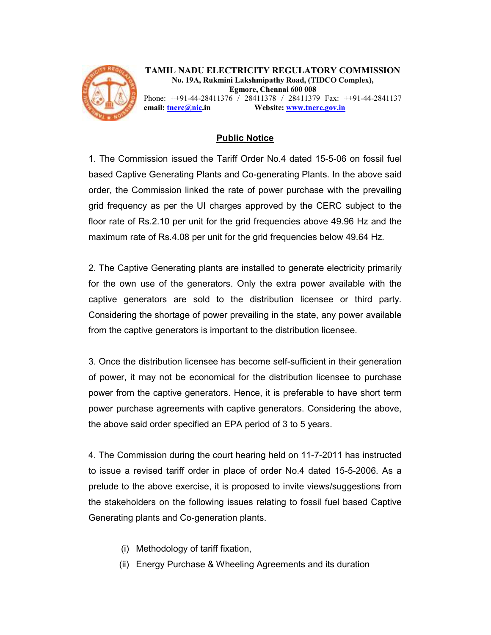

TAMIL NADU ELECTRICITY REGULATORY COMMISSION No. 19A, Rukmini Lakshmipathy Road, (TIDCO Complex), Egmore, Chennai 600 008

Phone: ++91-44-28411376 / 28411378 / 28411379 Fax: ++91-44-2841137 email: tnerc@nic.in Website: www.tnerc.gov.in

## Public Notice

1. The Commission issued the Tariff Order No.4 dated 15-5-06 on fossil fuel based Captive Generating Plants and Co-generating Plants. In the above said order, the Commission linked the rate of power purchase with the prevailing grid frequency as per the UI charges approved by the CERC subject to the floor rate of Rs.2.10 per unit for the grid frequencies above 49.96 Hz and the maximum rate of Rs.4.08 per unit for the grid frequencies below 49.64 Hz.

2. The Captive Generating plants are installed to generate electricity primarily for the own use of the generators. Only the extra power available with the captive generators are sold to the distribution licensee or third party. Considering the shortage of power prevailing in the state, any power available from the captive generators is important to the distribution licensee.

3. Once the distribution licensee has become self-sufficient in their generation of power, it may not be economical for the distribution licensee to purchase power from the captive generators. Hence, it is preferable to have short term power purchase agreements with captive generators. Considering the above, the above said order specified an EPA period of 3 to 5 years.

4. The Commission during the court hearing held on 11-7-2011 has instructed to issue a revised tariff order in place of order No.4 dated 15-5-2006. As a prelude to the above exercise, it is proposed to invite views/suggestions from the stakeholders on the following issues relating to fossil fuel based Captive Generating plants and Co-generation plants.

- (i) Methodology of tariff fixation,
- (ii) Energy Purchase & Wheeling Agreements and its duration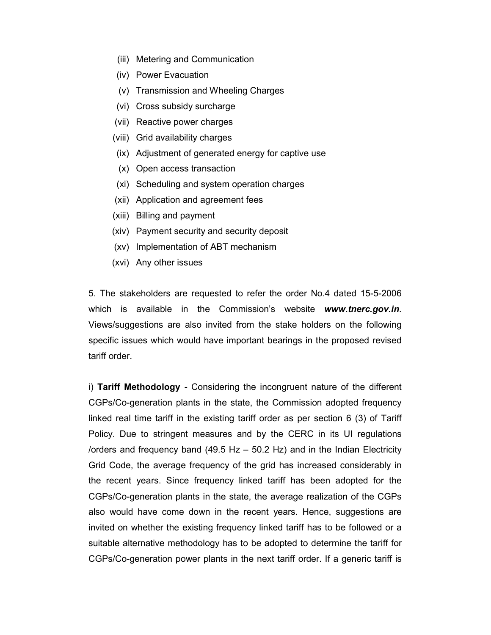- (iii) Metering and Communication
- (iv) Power Evacuation
- (v) Transmission and Wheeling Charges
- (vi) Cross subsidy surcharge
- (vii) Reactive power charges
- (viii) Grid availability charges
- (ix) Adjustment of generated energy for captive use
- (x) Open access transaction
- (xi) Scheduling and system operation charges
- (xii) Application and agreement fees
- (xiii) Billing and payment
- (xiv) Payment security and security deposit
- (xv) Implementation of ABT mechanism
- (xvi) Any other issues

5. The stakeholders are requested to refer the order No.4 dated 15-5-2006 which is available in the Commission's website www.tnerc.gov.in. Views/suggestions are also invited from the stake holders on the following specific issues which would have important bearings in the proposed revised tariff order.

i) Tariff Methodology - Considering the incongruent nature of the different CGPs/Co-generation plants in the state, the Commission adopted frequency linked real time tariff in the existing tariff order as per section 6 (3) of Tariff Policy. Due to stringent measures and by the CERC in its UI regulations /orders and frequency band (49.5 Hz – 50.2 Hz) and in the Indian Electricity Grid Code, the average frequency of the grid has increased considerably in the recent years. Since frequency linked tariff has been adopted for the CGPs/Co-generation plants in the state, the average realization of the CGPs also would have come down in the recent years. Hence, suggestions are invited on whether the existing frequency linked tariff has to be followed or a suitable alternative methodology has to be adopted to determine the tariff for CGPs/Co-generation power plants in the next tariff order. If a generic tariff is